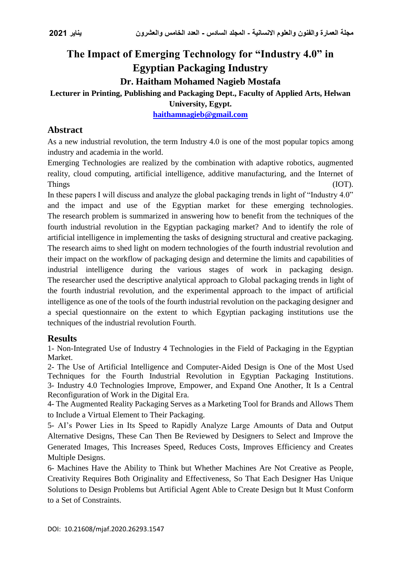# **The Impact of Emerging Technology for "Industry 4.0" in Egyptian Packaging Industry**

#### **Dr. Haitham Mohamed Nagieb Mostafa**

## **Lecturer in Printing, Publishing and Packaging Dept., Faculty of Applied Arts, Helwan**

**University, Egypt.**

**[haithamnagieb@gmail.com](mailto:haithamnagieb@gmail.com)**

#### **Abstract**

As a new industrial revolution, the term Industry 4.0 is one of the most popular topics among industry and academia in the world.

Emerging Technologies are realized by the combination with adaptive robotics, augmented reality, cloud computing, artificial intelligence, additive manufacturing, and the Internet of Things (IOT).

In these papers I will discuss and analyze the global packaging trends in light of "Industry 4.0" and the impact and use of the Egyptian market for these emerging technologies. The research problem is summarized in answering how to benefit from the techniques of the fourth industrial revolution in the Egyptian packaging market? And to identify the role of artificial intelligence in implementing the tasks of designing structural and creative packaging. The research aims to shed light on modern technologies of the fourth industrial revolution and their impact on the workflow of packaging design and determine the limits and capabilities of industrial intelligence during the various stages of work in packaging design. The researcher used the descriptive analytical approach to Global packaging trends in light of the fourth industrial revolution, and the experimental approach to the impact of artificial intelligence as one of the tools of the fourth industrial revolution on the packaging designer and a special questionnaire on the extent to which Egyptian packaging institutions use the techniques of the industrial revolution Fourth.

#### **Results**

1- Non-Integrated Use of Industry 4 Technologies in the Field of Packaging in the Egyptian Market.

2- The Use of Artificial Intelligence and Computer-Aided Design is One of the Most Used Techniques for the Fourth Industrial Revolution in Egyptian Packaging Institutions. 3- Industry 4.0 Technologies Improve, Empower, and Expand One Another, It Is a Central Reconfiguration of Work in the Digital Era.

4- The Augmented Reality Packaging Serves as a Marketing Tool for Brands and Allows Them to Include a Virtual Element to Their Packaging.

5- AI's Power Lies in Its Speed to Rapidly Analyze Large Amounts of Data and Output Alternative Designs, These Can Then Be Reviewed by Designers to Select and Improve the Generated Images, This Increases Speed, Reduces Costs, Improves Efficiency and Creates Multiple Designs.

6- Machines Have the Ability to Think but Whether Machines Are Not Creative as People, Creativity Requires Both Originality and Effectiveness, So That Each Designer Has Unique Solutions to Design Problems but Artificial Agent Able to Create Design but It Must Conform to a Set of Constraints.